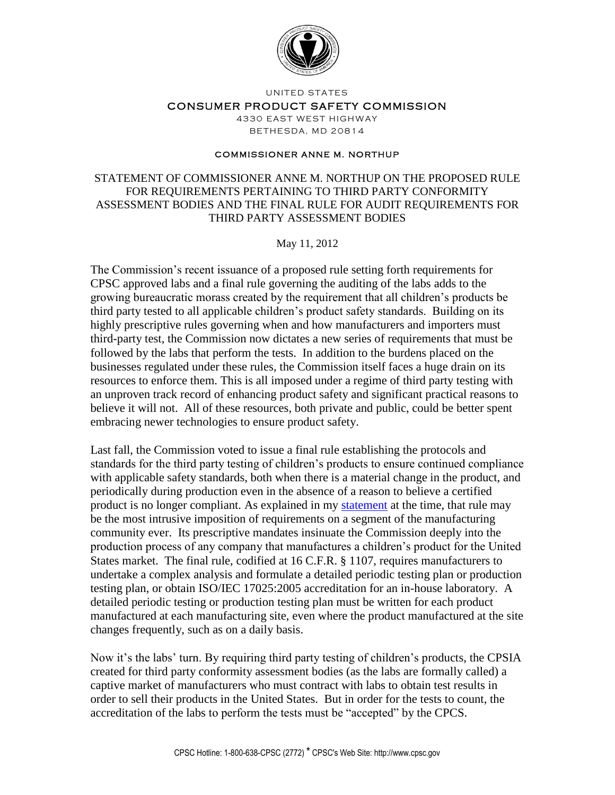

UNITED STATES

## CONSUMER PRODUCT SAFETY COMMISSION

4330 EAST WEST HIGHWAY BETHE SDA, MD 20814

## **COMMISSIONER ANNE M. NORTHUP**

## STATEMENT OF COMMISSIONER ANNE M. NORTHUP ON THE PROPOSED RULE FOR REQUIREMENTS PERTAINING TO THIRD PARTY CONFORMITY ASSESSMENT BODIES AND THE FINAL RULE FOR AUDIT REQUIREMENTS FOR THIRD PARTY ASSESSMENT BODIES

May 11, 2012

The Commission's recent issuance of a proposed rule setting forth requirements for CPSC approved labs and a final rule governing the auditing of the labs adds to the growing bureaucratic morass created by the requirement that all children's products be third party tested to all applicable children's product safety standards. Building on its highly prescriptive rules governing when and how manufacturers and importers must third-party test, the Commission now dictates a new series of requirements that must be followed by the labs that perform the tests. In addition to the burdens placed on the businesses regulated under these rules, the Commission itself faces a huge drain on its resources to enforce them. This is all imposed under a regime of third party testing with an unproven track record of enhancing product safety and significant practical reasons to believe it will not. All of these resources, both private and public, could be better spent embracing newer technologies to ensure product safety.

Last fall, the Commission voted to issue a final rule establishing the protocols and standards for the third party testing of children's products to ensure continued compliance with applicable safety standards, both when there is a material change in the product, and periodically during production even in the absence of a reason to believe a certified product is no longer compliant. As explained in my [statement](http://www.cpsc.gov/pr/northup10262011.pdf) at the time, that rule may be the most intrusive imposition of requirements on a segment of the manufacturing community ever. Its prescriptive mandates insinuate the Commission deeply into the production process of any company that manufactures a children's product for the United States market. The final rule, codified at 16 C.F.R. § 1107, requires manufacturers to undertake a complex analysis and formulate a detailed periodic testing plan or production testing plan, or obtain ISO/IEC 17025:2005 accreditation for an in-house laboratory. A detailed periodic testing or production testing plan must be written for each product manufactured at each manufacturing site, even where the product manufactured at the site changes frequently, such as on a daily basis.

Now it's the labs' turn. By requiring third party testing of children's products, the CPSIA created for third party conformity assessment bodies (as the labs are formally called) a captive market of manufacturers who must contract with labs to obtain test results in order to sell their products in the United States. But in order for the tests to count, the accreditation of the labs to perform the tests must be "accepted" by the CPCS.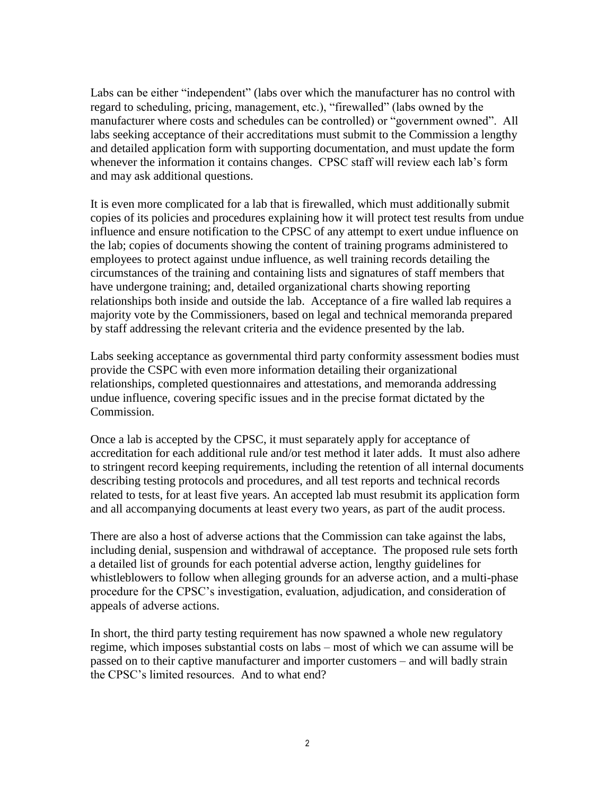Labs can be either "independent" (labs over which the manufacturer has no control with regard to scheduling, pricing, management, etc.), "firewalled" (labs owned by the manufacturer where costs and schedules can be controlled) or "government owned". All labs seeking acceptance of their accreditations must submit to the Commission a lengthy and detailed application form with supporting documentation, and must update the form whenever the information it contains changes. CPSC staff will review each lab's form and may ask additional questions.

It is even more complicated for a lab that is firewalled, which must additionally submit copies of its policies and procedures explaining how it will protect test results from undue influence and ensure notification to the CPSC of any attempt to exert undue influence on the lab; copies of documents showing the content of training programs administered to employees to protect against undue influence, as well training records detailing the circumstances of the training and containing lists and signatures of staff members that have undergone training; and, detailed organizational charts showing reporting relationships both inside and outside the lab. Acceptance of a fire walled lab requires a majority vote by the Commissioners, based on legal and technical memoranda prepared by staff addressing the relevant criteria and the evidence presented by the lab.

Labs seeking acceptance as governmental third party conformity assessment bodies must provide the CSPC with even more information detailing their organizational relationships, completed questionnaires and attestations, and memoranda addressing undue influence, covering specific issues and in the precise format dictated by the Commission.

Once a lab is accepted by the CPSC, it must separately apply for acceptance of accreditation for each additional rule and/or test method it later adds. It must also adhere to stringent record keeping requirements, including the retention of all internal documents describing testing protocols and procedures, and all test reports and technical records related to tests, for at least five years. An accepted lab must resubmit its application form and all accompanying documents at least every two years, as part of the audit process.

There are also a host of adverse actions that the Commission can take against the labs, including denial, suspension and withdrawal of acceptance. The proposed rule sets forth a detailed list of grounds for each potential adverse action, lengthy guidelines for whistleblowers to follow when alleging grounds for an adverse action, and a multi-phase procedure for the CPSC's investigation, evaluation, adjudication, and consideration of appeals of adverse actions.

In short, the third party testing requirement has now spawned a whole new regulatory regime, which imposes substantial costs on labs – most of which we can assume will be passed on to their captive manufacturer and importer customers – and will badly strain the CPSC's limited resources. And to what end?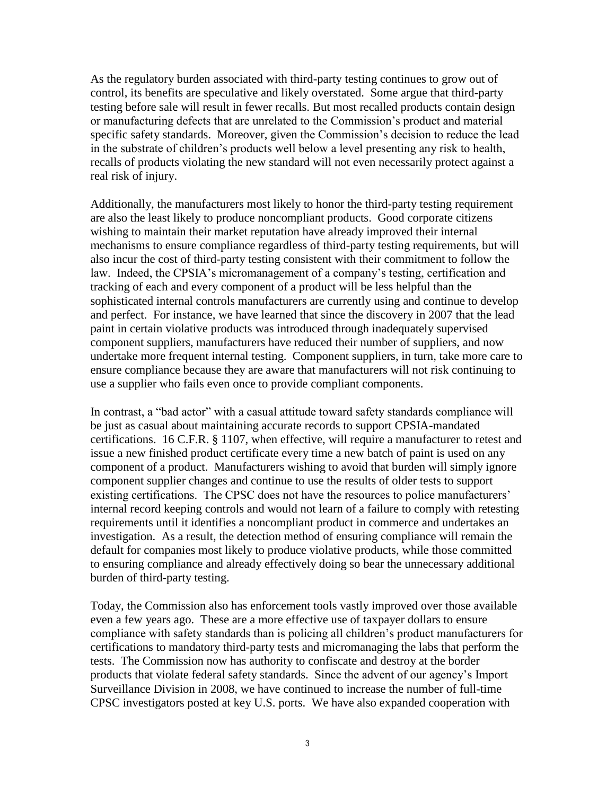As the regulatory burden associated with third-party testing continues to grow out of control, its benefits are speculative and likely overstated. Some argue that third-party testing before sale will result in fewer recalls. But most recalled products contain design or manufacturing defects that are unrelated to the Commission's product and material specific safety standards. Moreover, given the Commission's decision to reduce the lead in the substrate of children's products well below a level presenting any risk to health, recalls of products violating the new standard will not even necessarily protect against a real risk of injury.

Additionally, the manufacturers most likely to honor the third-party testing requirement are also the least likely to produce noncompliant products. Good corporate citizens wishing to maintain their market reputation have already improved their internal mechanisms to ensure compliance regardless of third-party testing requirements, but will also incur the cost of third-party testing consistent with their commitment to follow the law. Indeed, the CPSIA's micromanagement of a company's testing, certification and tracking of each and every component of a product will be less helpful than the sophisticated internal controls manufacturers are currently using and continue to develop and perfect. For instance, we have learned that since the discovery in 2007 that the lead paint in certain violative products was introduced through inadequately supervised component suppliers, manufacturers have reduced their number of suppliers, and now undertake more frequent internal testing. Component suppliers, in turn, take more care to ensure compliance because they are aware that manufacturers will not risk continuing to use a supplier who fails even once to provide compliant components.

In contrast, a "bad actor" with a casual attitude toward safety standards compliance will be just as casual about maintaining accurate records to support CPSIA-mandated certifications. 16 C.F.R. § 1107, when effective, will require a manufacturer to retest and issue a new finished product certificate every time a new batch of paint is used on any component of a product. Manufacturers wishing to avoid that burden will simply ignore component supplier changes and continue to use the results of older tests to support existing certifications. The CPSC does not have the resources to police manufacturers' internal record keeping controls and would not learn of a failure to comply with retesting requirements until it identifies a noncompliant product in commerce and undertakes an investigation. As a result, the detection method of ensuring compliance will remain the default for companies most likely to produce violative products, while those committed to ensuring compliance and already effectively doing so bear the unnecessary additional burden of third-party testing.

Today, the Commission also has enforcement tools vastly improved over those available even a few years ago. These are a more effective use of taxpayer dollars to ensure compliance with safety standards than is policing all children's product manufacturers for certifications to mandatory third-party tests and micromanaging the labs that perform the tests. The Commission now has authority to confiscate and destroy at the border products that violate federal safety standards. Since the advent of our agency's Import Surveillance Division in 2008, we have continued to increase the number of full-time CPSC investigators posted at key U.S. ports. We have also expanded cooperation with